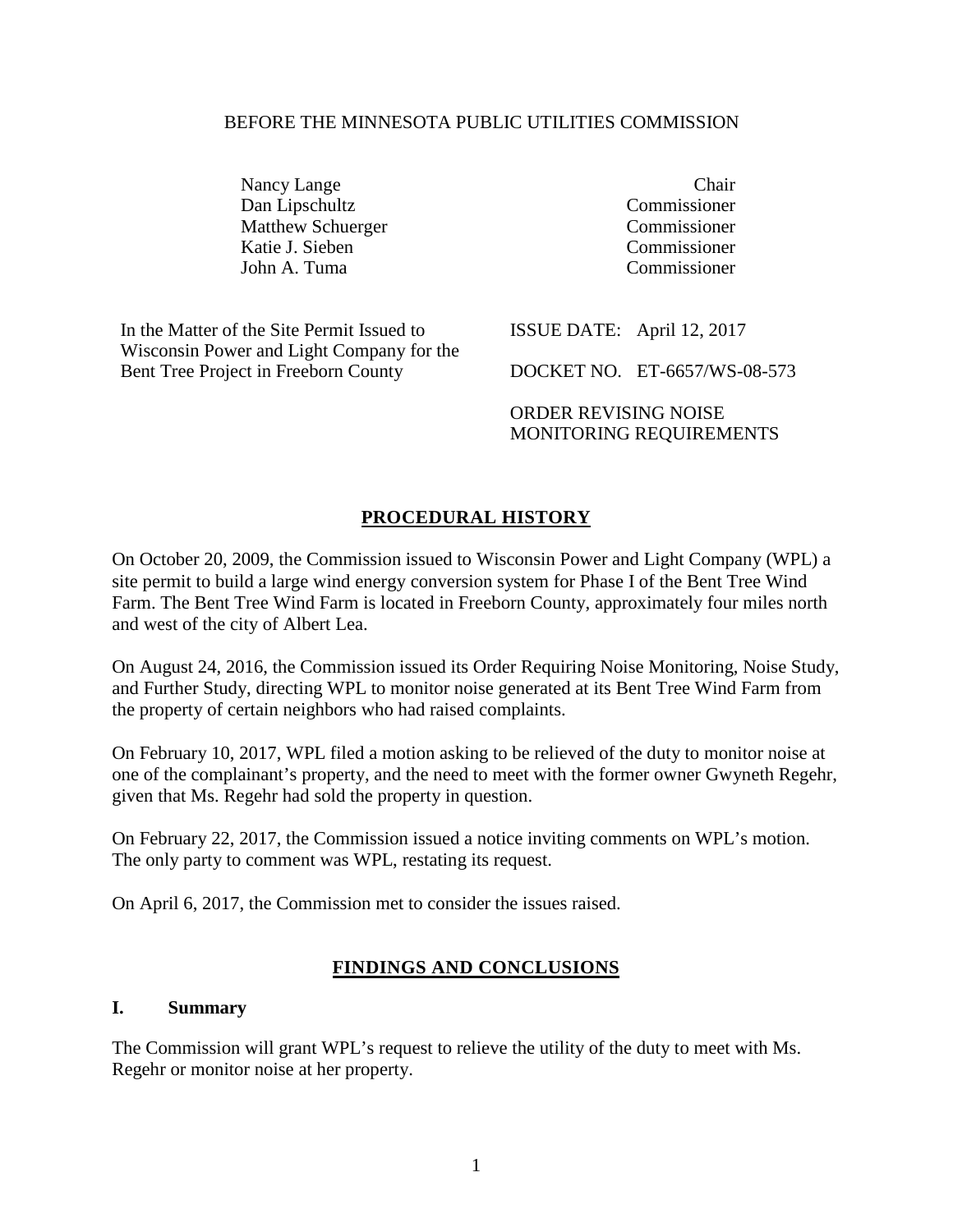#### BEFORE THE MINNESOTA PUBLIC UTILITIES COMMISSION

Nancy Lange Chair<br>
Dan Linschultz Commissioner Dan Lipschultz Commissioner Matthew Schuerger Katie J. Sieben Commissioner John A. Tuma Commissioner

In the Matter of the Site Permit Issued to Wisconsin Power and Light Company for the Bent Tree Project in Freeborn County

ISSUE DATE: April 12, 2017

DOCKET NO. ET-6657/WS-08-573

ORDER REVISING NOISE MONITORING REQUIREMENTS

# **PROCEDURAL HISTORY**

On October 20, 2009, the Commission issued to Wisconsin Power and Light Company (WPL) a site permit to build a large wind energy conversion system for Phase I of the Bent Tree Wind Farm. The Bent Tree Wind Farm is located in Freeborn County, approximately four miles north and west of the city of Albert Lea.

On August 24, 2016, the Commission issued its Order Requiring Noise Monitoring, Noise Study, and Further Study, directing WPL to monitor noise generated at its Bent Tree Wind Farm from the property of certain neighbors who had raised complaints.

On February 10, 2017, WPL filed a motion asking to be relieved of the duty to monitor noise at one of the complainant's property, and the need to meet with the former owner Gwyneth Regehr, given that Ms. Regehr had sold the property in question.

On February 22, 2017, the Commission issued a notice inviting comments on WPL's motion. The only party to comment was WPL, restating its request.

On April 6, 2017, the Commission met to consider the issues raised.

### **FINDINGS AND CONCLUSIONS**

### **I. Summary**

The Commission will grant WPL's request to relieve the utility of the duty to meet with Ms. Regehr or monitor noise at her property.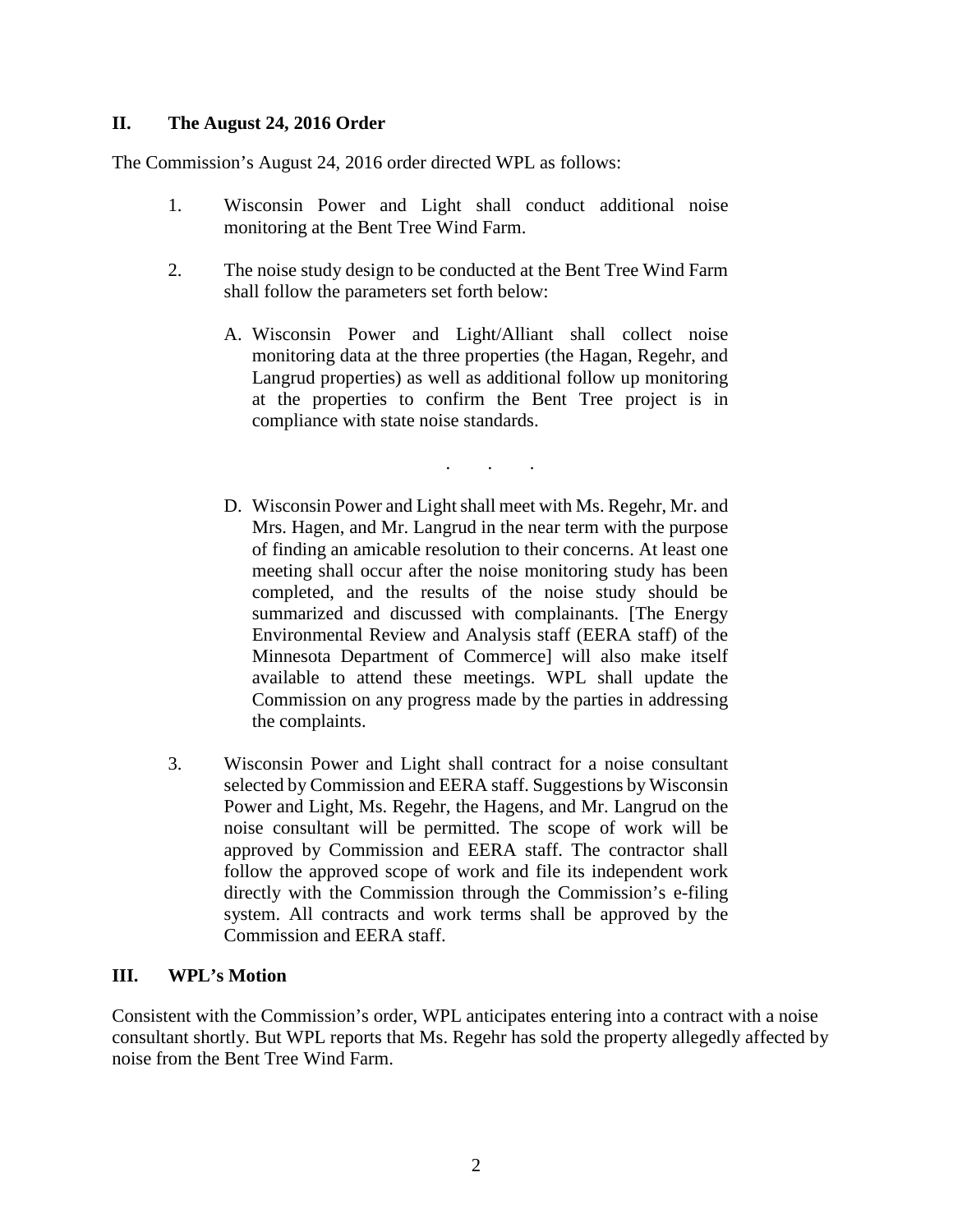## **II. The August 24, 2016 Order**

The Commission's August 24, 2016 order directed WPL as follows:

- 1. Wisconsin Power and Light shall conduct additional noise monitoring at the Bent Tree Wind Farm.
- 2. The noise study design to be conducted at the Bent Tree Wind Farm shall follow the parameters set forth below:
	- A. Wisconsin Power and Light/Alliant shall collect noise monitoring data at the three properties (the Hagan, Regehr, and Langrud properties) as well as additional follow up monitoring at the properties to confirm the Bent Tree project is in compliance with state noise standards.

. . .

- D. Wisconsin Power and Light shall meet with Ms. Regehr, Mr. and Mrs. Hagen, and Mr. Langrud in the near term with the purpose of finding an amicable resolution to their concerns. At least one meeting shall occur after the noise monitoring study has been completed, and the results of the noise study should be summarized and discussed with complainants. [The Energy Environmental Review and Analysis staff (EERA staff) of the Minnesota Department of Commerce] will also make itself available to attend these meetings. WPL shall update the Commission on any progress made by the parties in addressing the complaints.
- 3. Wisconsin Power and Light shall contract for a noise consultant selected by Commission and EERA staff. Suggestions by Wisconsin Power and Light, Ms. Regehr, the Hagens, and Mr. Langrud on the noise consultant will be permitted. The scope of work will be approved by Commission and EERA staff. The contractor shall follow the approved scope of work and file its independent work directly with the Commission through the Commission's e-filing system. All contracts and work terms shall be approved by the Commission and EERA staff.

### **III. WPL's Motion**

Consistent with the Commission's order, WPL anticipates entering into a contract with a noise consultant shortly. But WPL reports that Ms. Regehr has sold the property allegedly affected by noise from the Bent Tree Wind Farm.